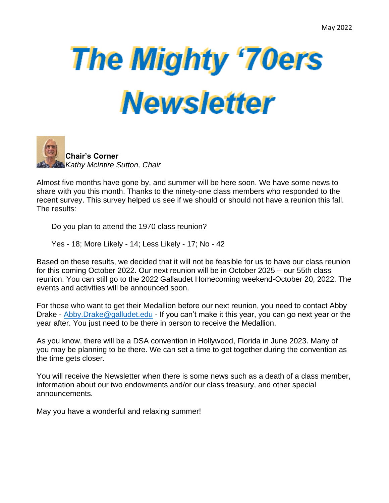## **The Mighty '70ers Newsletter**



Almost five months have gone by, and summer will be here soon. We have some news to share with you this month. Thanks to the ninety-one class members who responded to the recent survey. This survey helped us see if we should or should not have a reunion this fall. The results:

Do you plan to attend the 1970 class reunion?

Yes - 18; More Likely - 14; Less Likely - 17; No - 42

Based on these results, we decided that it will not be feasible for us to have our class reunion for this coming October 2022. Our next reunion will be in October 2025 – our 55th class reunion. You can still go to the 2022 Gallaudet Homecoming weekend-October 20, 2022. The events and activities will be announced soon.

For those who want to get their Medallion before our next reunion, you need to contact Abby Drake - [Abby.Drake@galludet.edu](mailto:Abby.Drake@galludet.eduI) - If you can't make it this year, you can go next year or the year after. You just need to be there in person to receive the Medallion.

As you know, there will be a DSA convention in Hollywood, Florida in June 2023. Many of you may be planning to be there. We can set a time to get together during the convention as the time gets closer.

You will receive the Newsletter when there is some news such as a death of a class member, information about our two endowments and/or our class treasury, and other special announcements.

May you have a wonderful and relaxing summer!